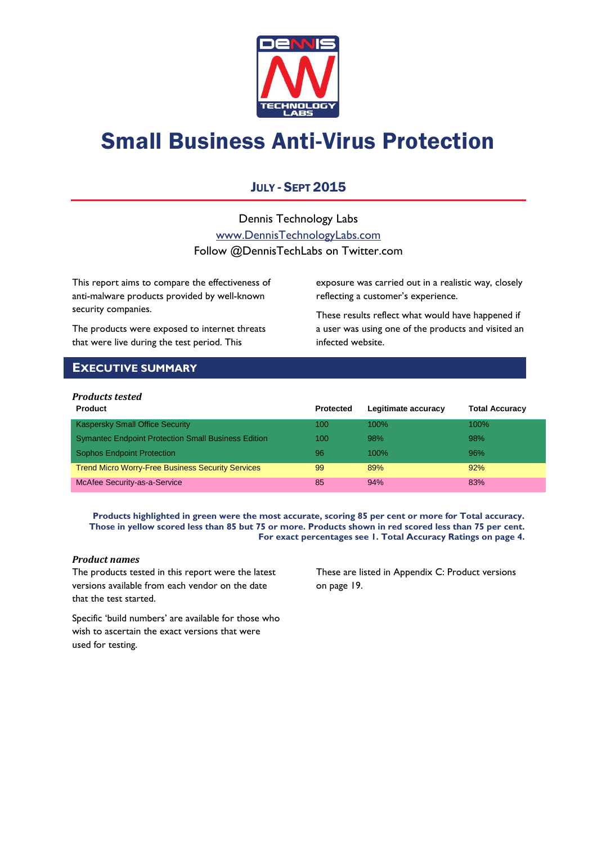

# Small Business Anti-Virus Protection

### JULY - SEPT 2015

Dennis Technology Labs [www.DennisTechnologyLabs.com](http://www.dennistechnologylabs.com/) Follow @DennisTechLabs on Twitter.com

This report aims to compare the effectiveness of anti-malware products provided by well-known security companies.

The products were exposed to internet threats that were live during the test period. This

exposure was carried out in a realistic way, closely reflecting a customer's experience.

These results reflect what would have happened if a user was using one of the products and visited an infected website.

### <span id="page-0-0"></span>**EXECUTIVE SUMMARY**

### *Products tested*

| <b>Product</b>                                             | Protected | Legitimate accuracy | <b>Total Accuracy</b> |
|------------------------------------------------------------|-----------|---------------------|-----------------------|
| <b>Kaspersky Small Office Security</b>                     | 100       | 100%                | $100\%$               |
| <b>Symantec Endpoint Protection Small Business Edition</b> | 100       | 98%                 | 98%                   |
| <b>Sophos Endpoint Protection</b>                          | 96        | $100\%$             | 96%                   |
| <b>Trend Micro Worry-Free Business Security Services</b>   | 99        | 89%                 | 92%                   |
| McAfee Security-as-a-Service                               | 85        | 94%                 | 83%                   |

**Products highlighted in green were the most accurate, scoring 85 per cent or more for Total accuracy. Those in yellow scored less than 85 but 75 or more. Products shown in red scored less than 75 per cent. For exact percentages see 1. Total Accuracy Ratings on page 4.**

### *Product names*

The products tested in this report were the latest versions available from each vendor on the date that the test started.

These are listed in [Appendix C: Product versions](#page-19-0) on page 19.

Specific 'build numbers' are available for those who wish to ascertain the exact versions that were used for testing.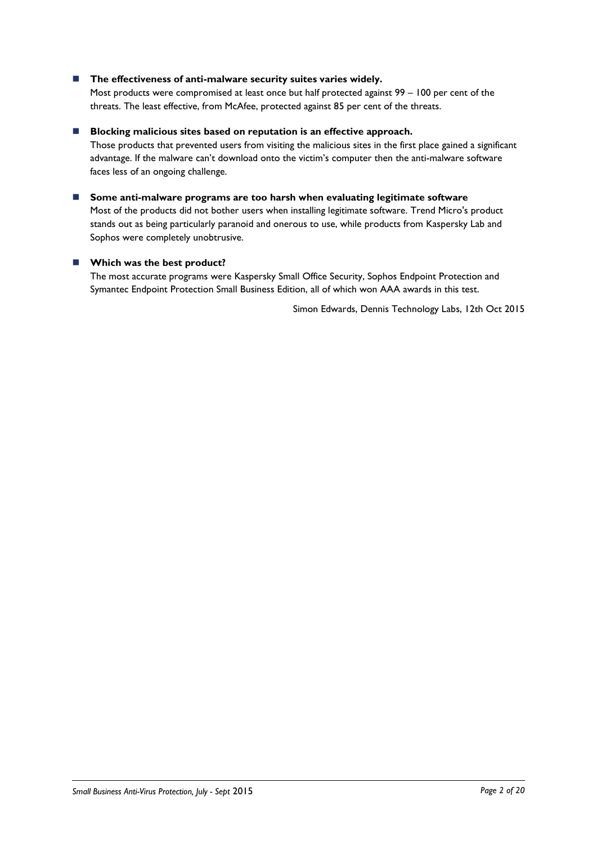### ■ The effectiveness of anti-malware security suites varies widely.

Most products were compromised at least once but half protected against 99 – 100 per cent of the threats. The least effective, from McAfee, protected against 85 per cent of the threats.

#### **Blocking malicious sites based on reputation is an effective approach.**

Those products that prevented users from visiting the malicious sites in the first place gained a significant advantage. If the malware can't download onto the victim's computer then the anti-malware software faces less of an ongoing challenge.

 **Some anti-malware programs are too harsh when evaluating legitimate software** Most of the products did not bother users when installing legitimate software. Trend Micro's product stands out as being particularly paranoid and onerous to use, while products from Kaspersky Lab and Sophos were completely unobtrusive.

#### **Which was the best product?**

The most accurate programs were Kaspersky Small Office Security, Sophos Endpoint Protection and Symantec Endpoint Protection Small Business Edition, all of which won AAA awards in this test.

Simon Edwards, Dennis Technology Labs, 12th Oct 2015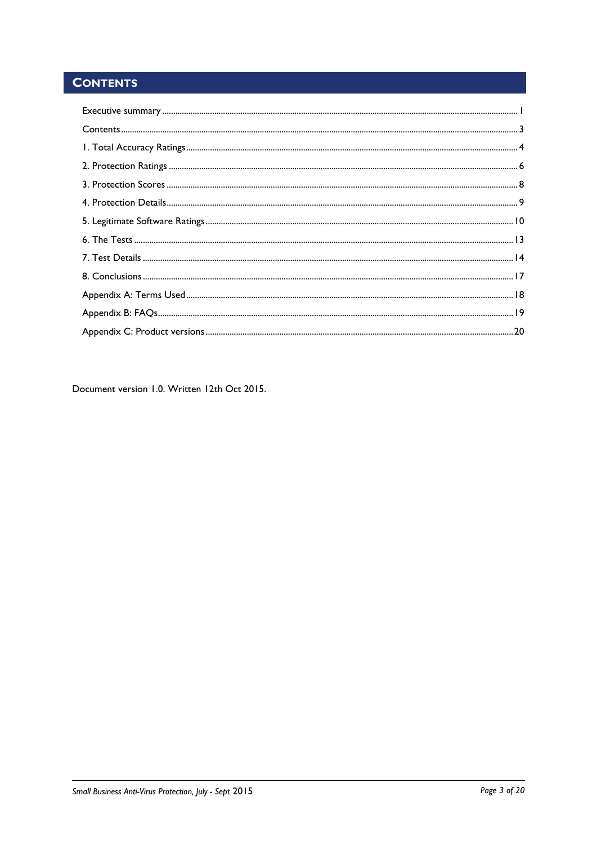### <span id="page-2-0"></span>**CONTENTS**

Document version 1.0. Written 12th Oct 2015.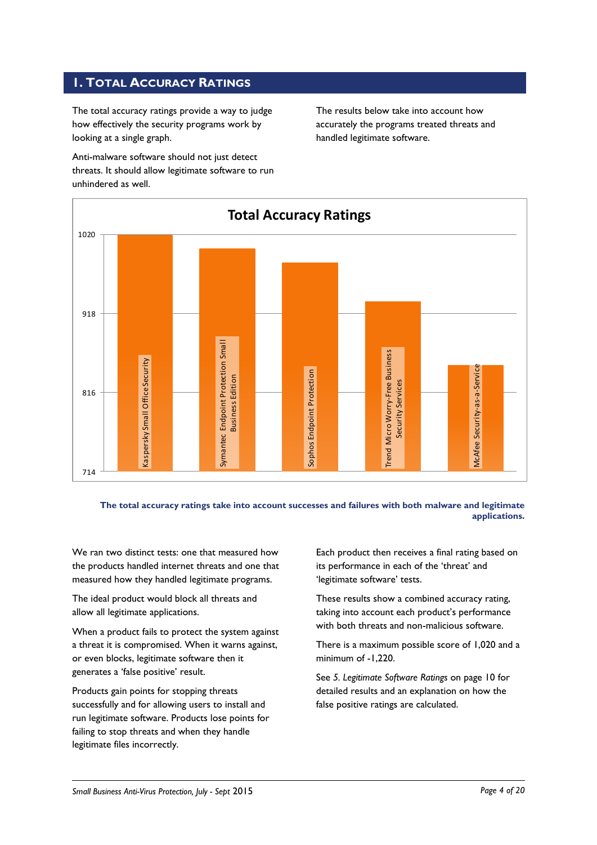### <span id="page-3-0"></span>**1. TOTAL ACCURACY RATINGS**

The total accuracy ratings provide a way to judge how effectively the security programs work by looking at a single graph.

Anti-malware software should not just detect threats. It should allow legitimate software to run unhindered as well.

The results below take into account how accurately the programs treated threats and handled legitimate software.



**The total accuracy ratings take into account successes and failures with both malware and legitimate applications.**

We ran two distinct tests: one that measured how the products handled internet threats and one that measured how they handled legitimate programs.

The ideal product would block all threats and allow all legitimate applications.

When a product fails to protect the system against a threat it is compromised. When it warns against, or even blocks, legitimate software then it generates a 'false positive' result.

Products gain points for stopping threats successfully and for allowing users to install and run legitimate software. Products lose points for failing to stop threats and when they handle legitimate files incorrectly.

Each product then receives a final rating based on its performance in each of the 'threat' and 'legitimate software' tests.

These results show a combined accuracy rating, taking into account each product's performance with both threats and non-malicious software.

There is a maximum possible score of 1,020 and a minimum of -1,220.

See *5. Legitimate Software Ratings* on page 10 for detailed results and an explanation on how the false positive ratings are calculated.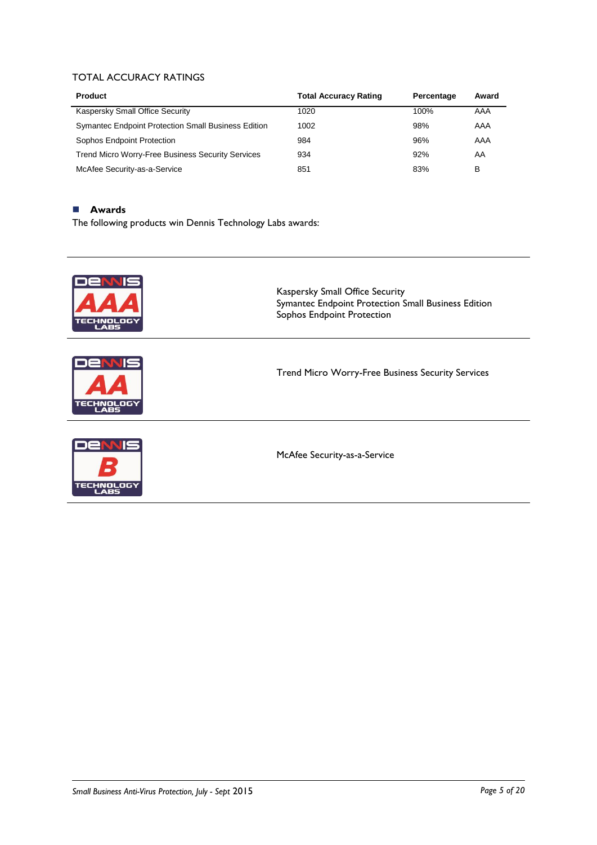### TOTAL ACCURACY RATINGS

| <b>Product</b>                                             | <b>Total Accuracy Rating</b> | Percentage | Award |
|------------------------------------------------------------|------------------------------|------------|-------|
| Kaspersky Small Office Security                            | 1020                         | 100%       | AAA   |
| <b>Symantec Endpoint Protection Small Business Edition</b> | 1002                         | 98%        | AAA   |
| Sophos Endpoint Protection                                 | 984                          | 96%        | AAA   |
| <b>Trend Micro Worry-Free Business Security Services</b>   | 934                          | 92%        | AA    |
| McAfee Security-as-a-Service                               | 851                          | 83%        | B     |

### **Awards**

The following products win Dennis Technology Labs awards:

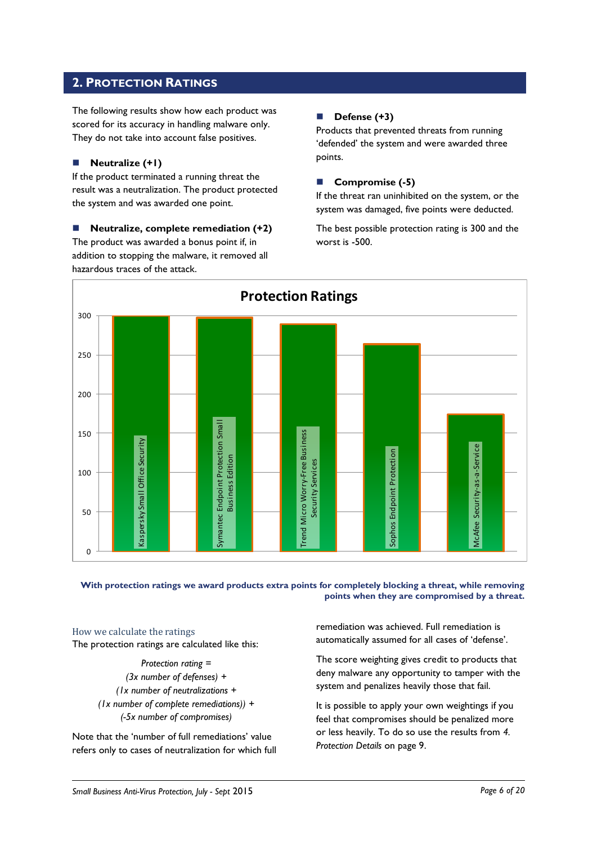### <span id="page-5-0"></span>**2. PROTECTION RATINGS**

The following results show how each product was scored for its accuracy in handling malware only. They do not take into account false positives.

### **Neutralize (+1)**

If the product terminated a running threat the result was a neutralization. The product protected the system and was awarded one point.

 **Neutralize, complete remediation (+2)** The product was awarded a bonus point if, in addition to stopping the malware, it removed all hazardous traces of the attack.

### **Defense (+3)**

Products that prevented threats from running 'defended' the system and were awarded three points.

### **Compromise (-5)**

If the threat ran uninhibited on the system, or the system was damaged, five points were deducted.

The best possible protection rating is 300 and the worst is -500.



### **With protection ratings we award products extra points for completely blocking a threat, while removing points when they are compromised by a threat.**

How we calculate the ratings The protection ratings are calculated like this:

> *Protection rating = (3x number of defenses) + (1x number of neutralizations + (1x number of complete remediations)) + (-5x number of compromises)*

Note that the 'number of full remediations' value refers only to cases of neutralization for which full

remediation was achieved. Full remediation is automatically assumed for all cases of 'defense'.

The score weighting gives credit to products that deny malware any opportunity to tamper with the system and penalizes heavily those that fail.

It is possible to apply your own weightings if you feel that compromises should be penalized more or less heavily. To do so use the results from *4. Protection Details* on page 9.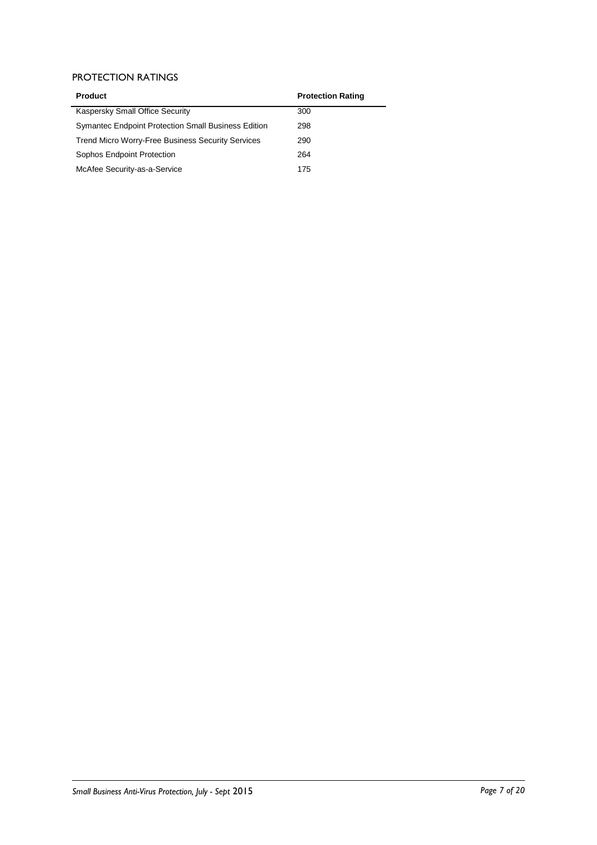### PROTECTION RATINGS

| <b>Product</b>                                             | <b>Protection Rating</b> |
|------------------------------------------------------------|--------------------------|
| Kaspersky Small Office Security                            | 300                      |
| <b>Symantec Endpoint Protection Small Business Edition</b> | 298                      |
| <b>Trend Micro Worry-Free Business Security Services</b>   | 290                      |
| Sophos Endpoint Protection                                 | 264                      |
| McAfee Security-as-a-Service                               | 175                      |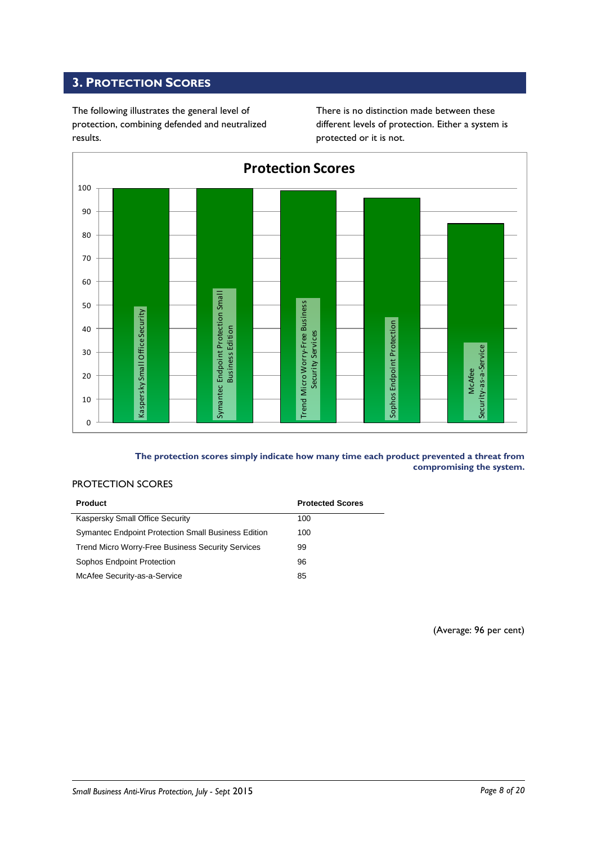### <span id="page-7-0"></span>**3. PROTECTION SCORES**

The following illustrates the general level of protection, combining defended and neutralized results.

There is no distinction made between these different levels of protection. Either a system is protected or it is not.



**The protection scores simply indicate how many time each product prevented a threat from compromising the system.**

### PROTECTION SCORES

| <b>Product</b>                                           | <b>Protected Scores</b> |
|----------------------------------------------------------|-------------------------|
| Kaspersky Small Office Security                          | 100                     |
| Symantec Endpoint Protection Small Business Edition      | 100                     |
| <b>Trend Micro Worry-Free Business Security Services</b> | 99                      |
| Sophos Endpoint Protection                               | 96                      |
| McAfee Security-as-a-Service                             | 85                      |

(Average: 96 per cent)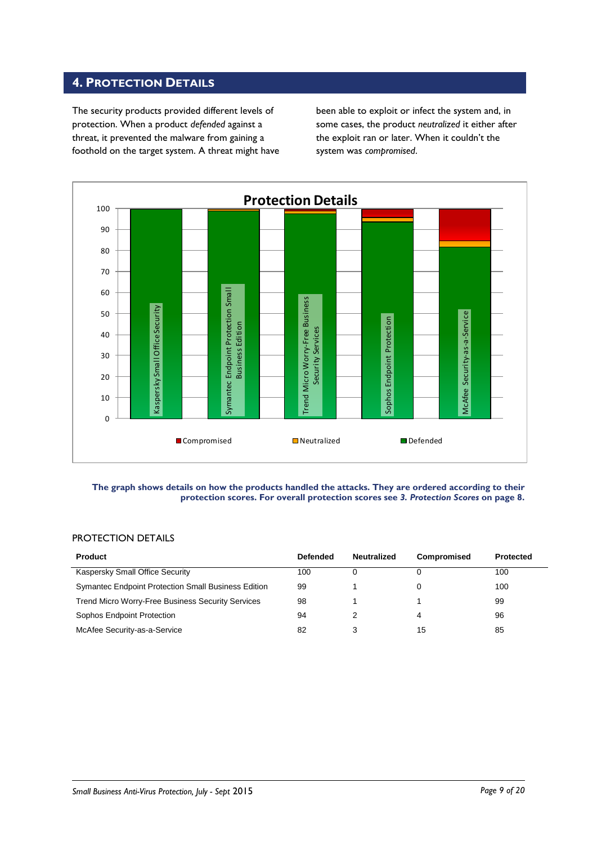### <span id="page-8-0"></span>**4. PROTECTION DETAILS**

The security products provided different levels of protection. When a product *defended* against a threat, it prevented the malware from gaining a foothold on the target system. A threat might have been able to exploit or infect the system and, in some cases, the product *neutralized* it either after the exploit ran or later. When it couldn't the system was *compromised*.



#### **The graph shows details on how the products handled the attacks. They are ordered according to their protection scores. For overall protection scores see** *3. Protection Scores* **on page 8.**

### PROTECTION DETAILS

| <b>Product</b>                                      | <b>Defended</b> | <b>Neutralized</b> | Compromised | <b>Protected</b> |
|-----------------------------------------------------|-----------------|--------------------|-------------|------------------|
| Kaspersky Small Office Security                     | 100             | 0                  |             | 100              |
| Symantec Endpoint Protection Small Business Edition | 99              |                    |             | 100              |
| Trend Micro Worry-Free Business Security Services   | 98              |                    |             | 99               |
| Sophos Endpoint Protection                          | 94              |                    | 4           | 96               |
| McAfee Security-as-a-Service                        | 82              | 3                  | 15          | 85               |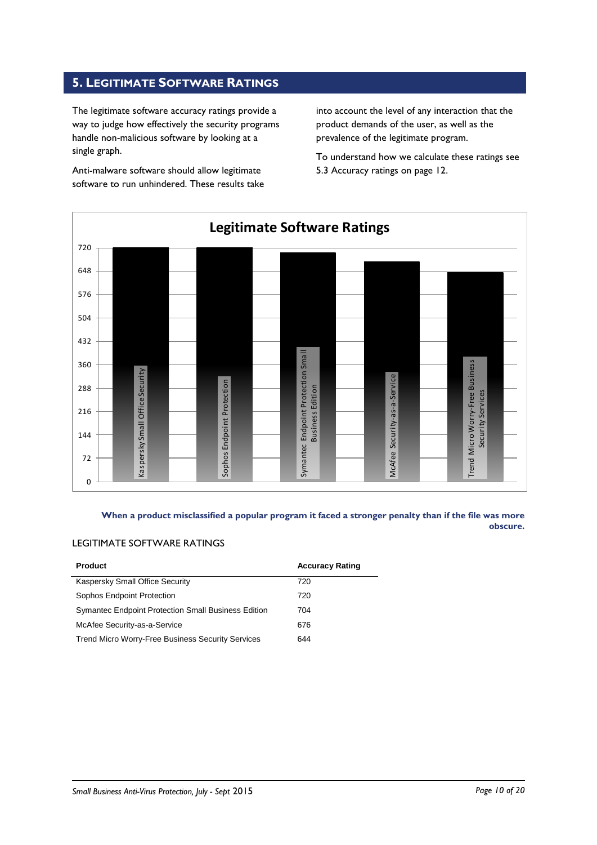### <span id="page-9-0"></span>**5. LEGITIMATE SOFTWARE RATINGS**

The legitimate software accuracy ratings provide a way to judge how effectively the security programs handle non-malicious software by looking at a single graph.

Anti-malware software should allow legitimate software to run unhindered. These results take into account the level of any interaction that the product demands of the user, as well as the prevalence of the legitimate program.

To understand how we calculate these ratings see 5.3 Accuracy ratings on page 12.



**When a product misclassified a popular program it faced a stronger penalty than if the file was more obscure.**

### LEGITIMATE SOFTWARE RATINGS

| <b>Product</b>                                             | <b>Accuracy Rating</b> |
|------------------------------------------------------------|------------------------|
| Kaspersky Small Office Security                            | 720                    |
| Sophos Endpoint Protection                                 | 720                    |
| <b>Symantec Endpoint Protection Small Business Edition</b> | 704                    |
| McAfee Security-as-a-Service                               | 676                    |
| Trend Micro Worry-Free Business Security Services          | 644                    |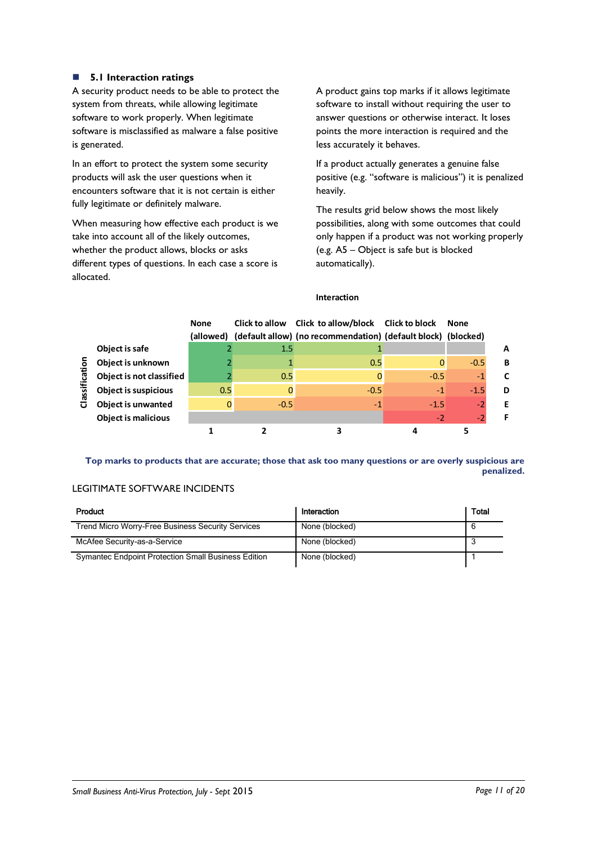### **5.1 Interaction ratings**

A security product needs to be able to protect the system from threats, while allowing legitimate software to work properly. When legitimate software is misclassified as malware a false positive is generated.

In an effort to protect the system some security products will ask the user questions when it encounters software that it is not certain is either fully legitimate or definitely malware.

When measuring how effective each product is we take into account all of the likely outcomes, whether the product allows, blocks or asks different types of questions. In each case a score is allocated.

A product gains top marks if it allows legitimate software to install without requiring the user to answer questions or otherwise interact. It loses points the more interaction is required and the less accurately it behaves.

If a product actually generates a genuine false positive (e.g. "software is malicious") it is penalized heavily.

The results grid below shows the most likely possibilities, along with some outcomes that could only happen if a product was not working properly (e.g. A5 – Object is safe but is blocked automatically).

### **Interaction**

|                         |                             | <b>None</b><br>(allowed) |        | Click to allow Click to allow/block Click to block<br>(default allow) (no recommendation) (default block) (blocked) |        | <b>None</b> |   |
|-------------------------|-----------------------------|--------------------------|--------|---------------------------------------------------------------------------------------------------------------------|--------|-------------|---|
|                         | Object is safe              |                          | 1.5    |                                                                                                                     |        |             | A |
| ō                       | Object is unknown           |                          |        | 0.5                                                                                                                 |        | $-0.5$      | в |
|                         | Object is not classified    |                          | 0.5    | 0                                                                                                                   | $-0.5$ | $-1$        | C |
| assificat               | <b>Object is suspicious</b> | 0.5                      |        | $-0.5$                                                                                                              | $-1$   | $-1.5$      | D |
| $\overline{\mathbf{o}}$ | <b>Object is unwanted</b>   |                          | $-0.5$ | $-1$                                                                                                                | $-1.5$ | $-2$        | Е |
|                         | <b>Object is malicious</b>  |                          |        |                                                                                                                     | $-2$   | -2          |   |
|                         |                             |                          |        |                                                                                                                     |        |             |   |

**Top marks to products that are accurate; those that ask too many questions or are overly suspicious are penalized.**

### LEGITIMATE SOFTWARE INCIDENTS

| Product                                                    | Interaction    | Total |
|------------------------------------------------------------|----------------|-------|
| <b>Trend Micro Worry-Free Business Security Services</b>   | None (blocked) |       |
| McAfee Security-as-a-Service                               | None (blocked) |       |
| <b>Symantec Endpoint Protection Small Business Edition</b> | None (blocked) |       |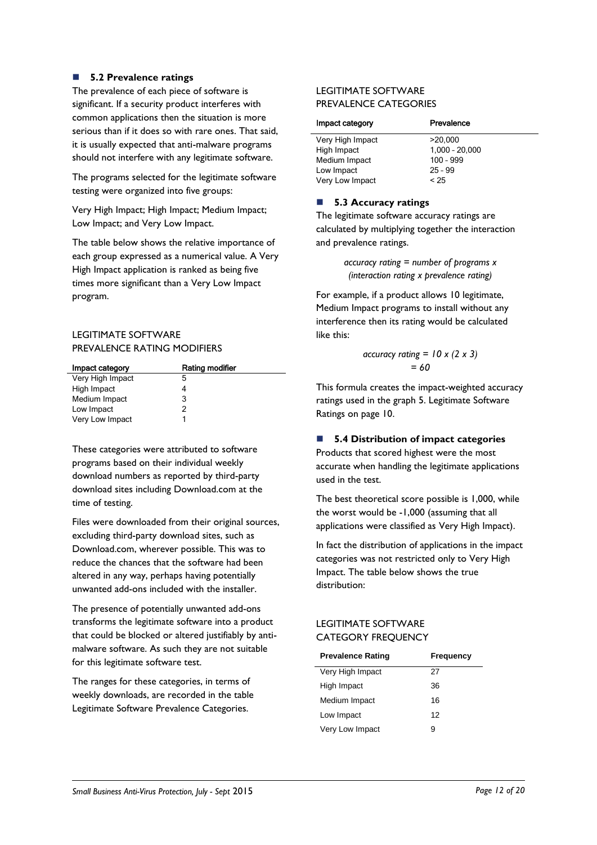### **5.2 Prevalence ratings**

The prevalence of each piece of software is significant. If a security product interferes with common applications then the situation is more serious than if it does so with rare ones. That said, it is usually expected that anti-malware programs should not interfere with any legitimate software.

The programs selected for the legitimate software testing were organized into five groups:

Very High Impact; High Impact; Medium Impact; Low Impact; and Very Low Impact.

The table below shows the relative importance of each group expressed as a numerical value. A Very High Impact application is ranked as being five times more significant than a Very Low Impact program.

### LEGITIMATE SOFTWARE PREVALENCE RATING MODIFIERS

| Impact category  | Rating modifier |
|------------------|-----------------|
| Very High Impact | 5               |
| High Impact      |                 |
| Medium Impact    | 3               |
| Low Impact       | 2               |
| Very Low Impact  |                 |

These categories were attributed to software programs based on their individual weekly download numbers as reported by third-party download sites including Download.com at the time of testing.

Files were downloaded from their original sources, excluding third-party download sites, such as Download.com, wherever possible. This was to reduce the chances that the software had been altered in any way, perhaps having potentially unwanted add-ons included with the installer.

The presence of potentially unwanted add-ons transforms the legitimate software into a product that could be blocked or altered justifiably by antimalware software. As such they are not suitable for this legitimate software test.

The ranges for these categories, in terms of weekly downloads, are recorded in the table Legitimate Software Prevalence Categories.

### LEGITIMATE SOFTWARE PREVALENCE CATEGORIES

| Prevalence       |
|------------------|
| >20.000          |
| $1,000 - 20,000$ |
| $100 - 999$      |
| $25 - 99$        |
| < 25             |
|                  |

### ■ 5.3 Accuracy ratings

The legitimate software accuracy ratings are calculated by multiplying together the interaction and prevalence ratings.

> *accuracy rating = number of programs x (interaction rating x prevalence rating)*

For example, if a product allows 10 legitimate, Medium Impact programs to install without any interference then its rating would be calculated like this:

$$
\begin{aligned}\n\text{accuracy rating} &= 10 \times (2 \times 3) \\
&= 60\n\end{aligned}
$$

This formula creates the impact-weighted accuracy ratings used in the graph 5. Legitimate Software Ratings on page 10.

### **5.4 Distribution of impact categories**

Products that scored highest were the most accurate when handling the legitimate applications used in the test.

The best theoretical score possible is 1,000, while the worst would be -1,000 (assuming that all applications were classified as Very High Impact).

In fact the distribution of applications in the impact categories was not restricted only to Very High Impact. The table below shows the true distribution:

### LEGITIMATE SOFTWARE CATEGORY FREQUENCY

| <b>Prevalence Rating</b> | Frequency |
|--------------------------|-----------|
| Very High Impact         | 27        |
| High Impact              | 36        |
| Medium Impact            | 16        |
| Low Impact               | 12        |
| Very Low Impact          | g         |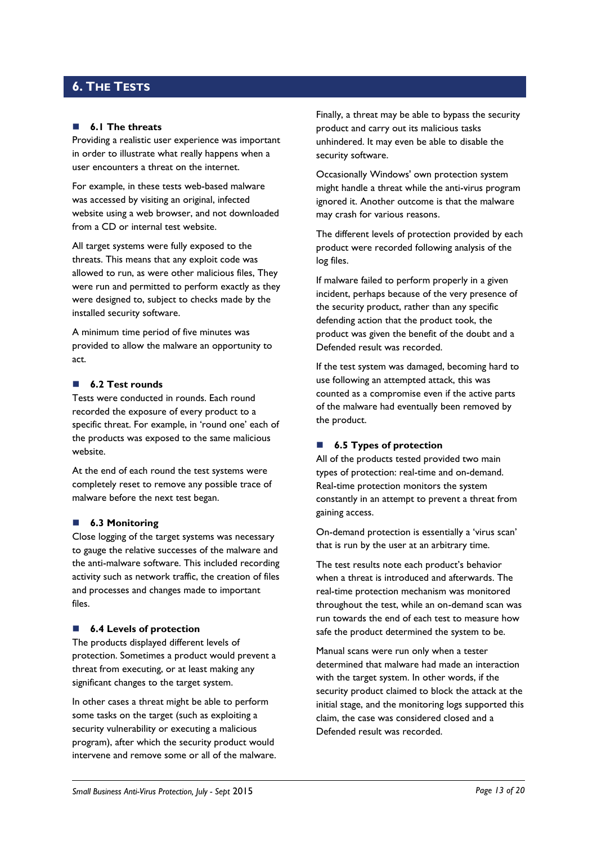### <span id="page-12-0"></span>**6. THE TESTS**

#### **6.1 The threats**

Providing a realistic user experience was important in order to illustrate what really happens when a user encounters a threat on the internet.

For example, in these tests web-based malware was accessed by visiting an original, infected website using a web browser, and not downloaded from a CD or internal test website.

All target systems were fully exposed to the threats. This means that any exploit code was allowed to run, as were other malicious files, They were run and permitted to perform exactly as they were designed to, subject to checks made by the installed security software.

A minimum time period of five minutes was provided to allow the malware an opportunity to act.

### **6.2 Test rounds**

Tests were conducted in rounds. Each round recorded the exposure of every product to a specific threat. For example, in 'round one' each of the products was exposed to the same malicious website.

At the end of each round the test systems were completely reset to remove any possible trace of malware before the next test began.

#### **6.3 Monitoring**

Close logging of the target systems was necessary to gauge the relative successes of the malware and the anti-malware software. This included recording activity such as network traffic, the creation of files and processes and changes made to important files.

#### ■ **6.4 Levels of protection**

The products displayed different levels of protection. Sometimes a product would prevent a threat from executing, or at least making any significant changes to the target system.

In other cases a threat might be able to perform some tasks on the target (such as exploiting a security vulnerability or executing a malicious program), after which the security product would intervene and remove some or all of the malware. Finally, a threat may be able to bypass the security product and carry out its malicious tasks unhindered. It may even be able to disable the security software.

Occasionally Windows' own protection system might handle a threat while the anti-virus program ignored it. Another outcome is that the malware may crash for various reasons.

The different levels of protection provided by each product were recorded following analysis of the log files.

If malware failed to perform properly in a given incident, perhaps because of the very presence of the security product, rather than any specific defending action that the product took, the product was given the benefit of the doubt and a Defended result was recorded.

If the test system was damaged, becoming hard to use following an attempted attack, this was counted as a compromise even if the active parts of the malware had eventually been removed by the product.

### ■ **6.5 Types of protection**

All of the products tested provided two main types of protection: real-time and on-demand. Real-time protection monitors the system constantly in an attempt to prevent a threat from gaining access.

On-demand protection is essentially a 'virus scan' that is run by the user at an arbitrary time.

The test results note each product's behavior when a threat is introduced and afterwards. The real-time protection mechanism was monitored throughout the test, while an on-demand scan was run towards the end of each test to measure how safe the product determined the system to be.

Manual scans were run only when a tester determined that malware had made an interaction with the target system. In other words, if the security product claimed to block the attack at the initial stage, and the monitoring logs supported this claim, the case was considered closed and a Defended result was recorded.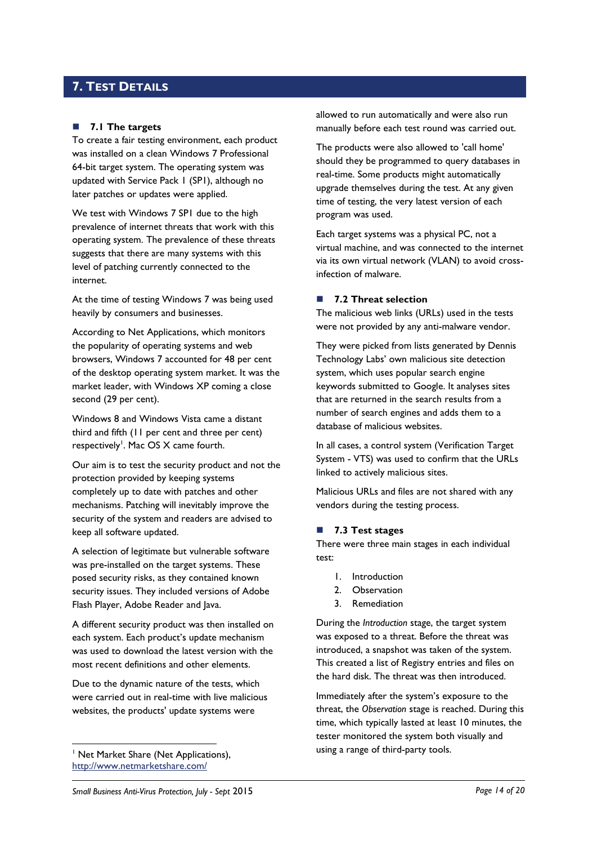### <span id="page-13-0"></span>**7. TEST DETAILS**

### **7.1 The targets**

To create a fair testing environment, each product was installed on a clean Windows 7 Professional 64-bit target system. The operating system was updated with Service Pack 1 (SP1), although no later patches or updates were applied.

We test with Windows 7 SP1 due to the high prevalence of internet threats that work with this operating system. The prevalence of these threats suggests that there are many systems with this level of patching currently connected to the internet.

At the time of testing Windows 7 was being used heavily by consumers and businesses.

According to Net Applications, which monitors the popularity of operating systems and web browsers, Windows 7 accounted for 48 per cent of the desktop operating system market. It was the market leader, with Windows XP coming a close second (29 per cent).

Windows 8 and Windows Vista came a distant third and fifth (11 per cent and three per cent) respectively<sup>1</sup>. Mac OS X came fourth.

Our aim is to test the security product and not the protection provided by keeping systems completely up to date with patches and other mechanisms. Patching will inevitably improve the security of the system and readers are advised to keep all software updated.

A selection of legitimate but vulnerable software was pre-installed on the target systems. These posed security risks, as they contained known security issues. They included versions of Adobe Flash Player, Adobe Reader and Java.

A different security product was then installed on each system. Each product's update mechanism was used to download the latest version with the most recent definitions and other elements.

Due to the dynamic nature of the tests, which were carried out in real-time with live malicious websites, the products' update systems were

<sup>1</sup> Net Market Share (Net Applications), <http://www.netmarketshare.com/>

-

allowed to run automatically and were also run manually before each test round was carried out.

The products were also allowed to 'call home' should they be programmed to query databases in real-time. Some products might automatically upgrade themselves during the test. At any given time of testing, the very latest version of each program was used.

Each target systems was a physical PC, not a virtual machine, and was connected to the internet via its own virtual network (VLAN) to avoid crossinfection of malware.

### ■ 7.2 Threat selection

The malicious web links (URLs) used in the tests were not provided by any anti-malware vendor.

They were picked from lists generated by Dennis Technology Labs' own malicious site detection system, which uses popular search engine keywords submitted to Google. It analyses sites that are returned in the search results from a number of search engines and adds them to a database of malicious websites.

In all cases, a control system (Verification Target System - VTS) was used to confirm that the URLs linked to actively malicious sites.

Malicious URLs and files are not shared with any vendors during the testing process.

### <span id="page-13-1"></span>**7.3 Test stages**

There were three main stages in each individual test:

- 1. Introduction
- 2. Observation
- 3. Remediation

During the *Introduction* stage, the target system was exposed to a threat. Before the threat was introduced, a snapshot was taken of the system. This created a list of Registry entries and files on the hard disk. The threat was then introduced.

Immediately after the system's exposure to the threat, the *Observation* stage is reached. During this time, which typically lasted at least 10 minutes, the tester monitored the system both visually and using a range of third-party tools.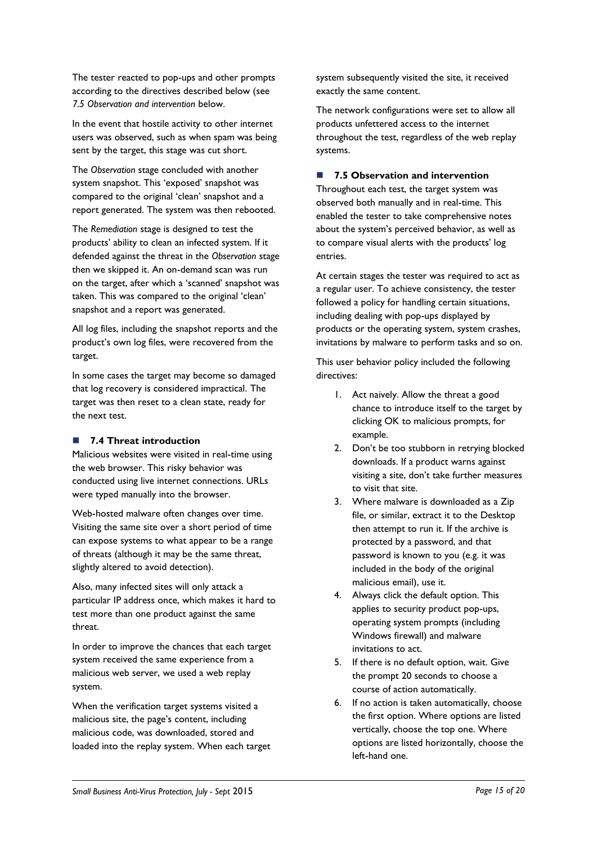The tester reacted to pop-ups and other prompts according to the directives described below (see *7.5 Observation and intervention* below.

In the event that hostile activity to other internet users was observed, such as when spam was being sent by the target, this stage was cut short.

The *Observation* stage concluded with another system snapshot. This 'exposed' snapshot was compared to the original 'clean' snapshot and a report generated. The system was then rebooted.

The *Remediation* stage is designed to test the products' ability to clean an infected system. If it defended against the threat in the *Observation* stage then we skipped it. An on-demand scan was run on the target, after which a 'scanned' snapshot was taken. This was compared to the original 'clean' snapshot and a report was generated.

All log files, including the snapshot reports and the product's own log files, were recovered from the target.

In some cases the target may become so damaged that log recovery is considered impractical. The target was then reset to a clean state, ready for the next test.

### **7.4 Threat introduction**

Malicious websites were visited in real-time using the web browser. This risky behavior was conducted using live internet connections. URLs were typed manually into the browser.

Web-hosted malware often changes over time. Visiting the same site over a short period of time can expose systems to what appear to be a range of threats (although it may be the same threat, slightly altered to avoid detection).

Also, many infected sites will only attack a particular IP address once, which makes it hard to test more than one product against the same threat.

In order to improve the chances that each target system received the same experience from a malicious web server, we used a web replay system.

When the verification target systems visited a malicious site, the page's content, including malicious code, was downloaded, stored and loaded into the replay system. When each target system subsequently visited the site, it received exactly the same content.

The network configurations were set to allow all products unfettered access to the internet throughout the test, regardless of the web replay systems.

### **7.5 Observation and intervention**

Throughout each test, the target system was observed both manually and in real-time. This enabled the tester to take comprehensive notes about the system's perceived behavior, as well as to compare visual alerts with the products' log entries.

At certain stages the tester was required to act as a regular user. To achieve consistency, the tester followed a policy for handling certain situations, including dealing with pop-ups displayed by products or the operating system, system crashes, invitations by malware to perform tasks and so on.

This user behavior policy included the following directives:

- 1. Act naively. Allow the threat a good chance to introduce itself to the target by clicking OK to malicious prompts, for example.
- 2. Don't be too stubborn in retrying blocked downloads. If a product warns against visiting a site, don't take further measures to visit that site.
- 3. Where malware is downloaded as a Zip file, or similar, extract it to the Desktop then attempt to run it. If the archive is protected by a password, and that password is known to you (e.g. it was included in the body of the original malicious email), use it.
- 4. Always click the default option. This applies to security product pop-ups, operating system prompts (including Windows firewall) and malware invitations to act.
- 5. If there is no default option, wait. Give the prompt 20 seconds to choose a course of action automatically.
- 6. If no action is taken automatically, choose the first option. Where options are listed vertically, choose the top one. Where options are listed horizontally, choose the left-hand one.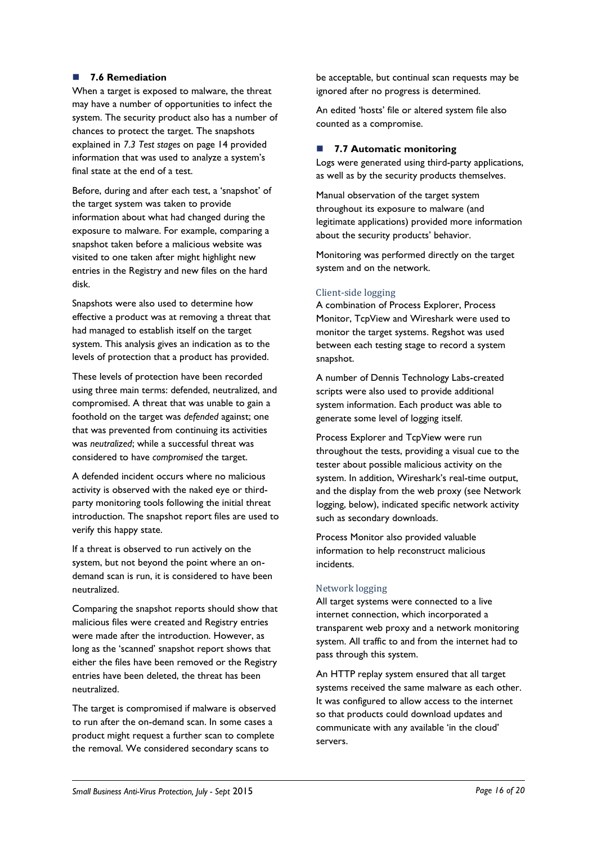### **7.6 Remediation**

When a target is exposed to malware, the threat may have a number of opportunities to infect the system. The security product also has a number of chances to protect the target. The snapshots explained in *7.3 Test stages* [on page 14](#page-13-1) provided information that was used to analyze a system's final state at the end of a test.

Before, during and after each test, a 'snapshot' of the target system was taken to provide information about what had changed during the exposure to malware. For example, comparing a snapshot taken before a malicious website was visited to one taken after might highlight new entries in the Registry and new files on the hard disk.

Snapshots were also used to determine how effective a product was at removing a threat that had managed to establish itself on the target system. This analysis gives an indication as to the levels of protection that a product has provided.

These levels of protection have been recorded using three main terms: defended, neutralized, and compromised. A threat that was unable to gain a foothold on the target was *defended* against; one that was prevented from continuing its activities was *neutralized*; while a successful threat was considered to have *compromised* the target.

A defended incident occurs where no malicious activity is observed with the naked eye or thirdparty monitoring tools following the initial threat introduction. The snapshot report files are used to verify this happy state.

If a threat is observed to run actively on the system, but not beyond the point where an ondemand scan is run, it is considered to have been neutralized.

Comparing the snapshot reports should show that malicious files were created and Registry entries were made after the introduction. However, as long as the 'scanned' snapshot report shows that either the files have been removed or the Registry entries have been deleted, the threat has been neutralized.

The target is compromised if malware is observed to run after the on-demand scan. In some cases a product might request a further scan to complete the removal. We considered secondary scans to

be acceptable, but continual scan requests may be ignored after no progress is determined.

An edited 'hosts' file or altered system file also counted as a compromise.

### **7.7 Automatic monitoring**

Logs were generated using third-party applications, as well as by the security products themselves.

Manual observation of the target system throughout its exposure to malware (and legitimate applications) provided more information about the security products' behavior.

Monitoring was performed directly on the target system and on the network.

### Client-side logging

A combination of Process Explorer, Process Monitor, TcpView and Wireshark were used to monitor the target systems. Regshot was used between each testing stage to record a system snapshot.

A number of Dennis Technology Labs-created scripts were also used to provide additional system information. Each product was able to generate some level of logging itself.

Process Explorer and TcpView were run throughout the tests, providing a visual cue to the tester about possible malicious activity on the system. In addition, Wireshark's real-time output, and the display from the web proxy (see Network logging, below), indicated specific network activity such as secondary downloads.

Process Monitor also provided valuable information to help reconstruct malicious incidents.

### Network logging

All target systems were connected to a live internet connection, which incorporated a transparent web proxy and a network monitoring system. All traffic to and from the internet had to pass through this system.

An HTTP replay system ensured that all target systems received the same malware as each other. It was configured to allow access to the internet so that products could download updates and communicate with any available 'in the cloud' servers.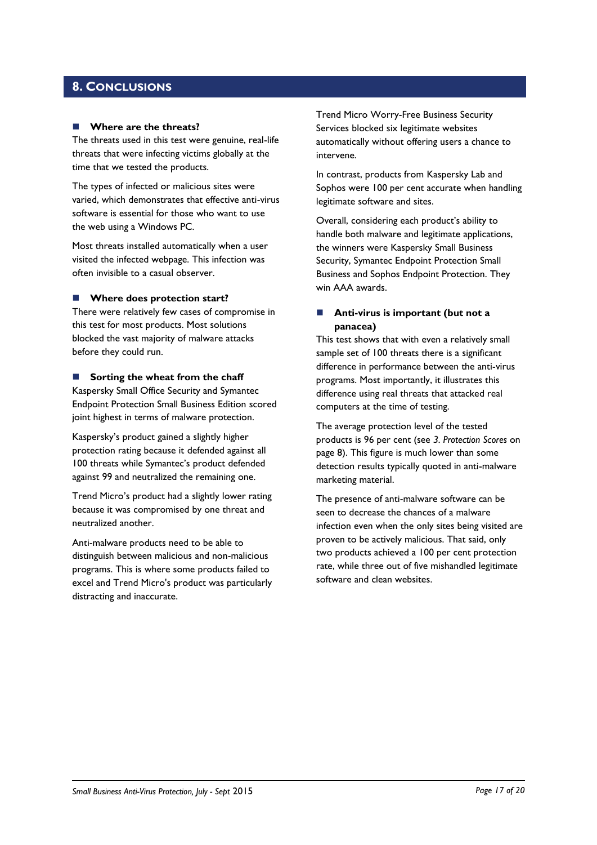### <span id="page-16-0"></span>**8. CONCLUSIONS**

#### **Where are the threats?**

The threats used in this test were genuine, real-life threats that were infecting victims globally at the time that we tested the products.

The types of infected or malicious sites were varied, which demonstrates that effective anti-virus software is essential for those who want to use the web using a Windows PC.

Most threats installed automatically when a user visited the infected webpage. This infection was often invisible to a casual observer.

### **Where does protection start?**

There were relatively few cases of compromise in this test for most products. Most solutions blocked the vast majority of malware attacks before they could run.

#### **Sorting the wheat from the chaff**

Kaspersky Small Office Security and Symantec Endpoint Protection Small Business Edition scored joint highest in terms of malware protection.

Kaspersky's product gained a slightly higher protection rating because it defended against all 100 threats while Symantec's product defended against 99 and neutralized the remaining one.

Trend Micro's product had a slightly lower rating because it was compromised by one threat and neutralized another.

Anti-malware products need to be able to distinguish between malicious and non-malicious programs. This is where some products failed to excel and Trend Micro's product was particularly distracting and inaccurate.

Trend Micro Worry-Free Business Security Services blocked six legitimate websites automatically without offering users a chance to intervene.

In contrast, products from Kaspersky Lab and Sophos were 100 per cent accurate when handling legitimate software and sites.

Overall, considering each product's ability to handle both malware and legitimate applications, the winners were Kaspersky Small Business Security, Symantec Endpoint Protection Small Business and Sophos Endpoint Protection. They win AAA awards.

### **Anti-virus is important (but not a panacea)**

This test shows that with even a relatively small sample set of 100 threats there is a significant difference in performance between the anti-virus programs. Most importantly, it illustrates this difference using real threats that attacked real computers at the time of testing.

The average protection level of the tested products is 96 per cent (see *3. Protection Scores* on page 8). This figure is much lower than some detection results typically quoted in anti-malware marketing material.

The presence of anti-malware software can be seen to decrease the chances of a malware infection even when the only sites being visited are proven to be actively malicious. That said, only two products achieved a 100 per cent protection rate, while three out of five mishandled legitimate software and clean websites.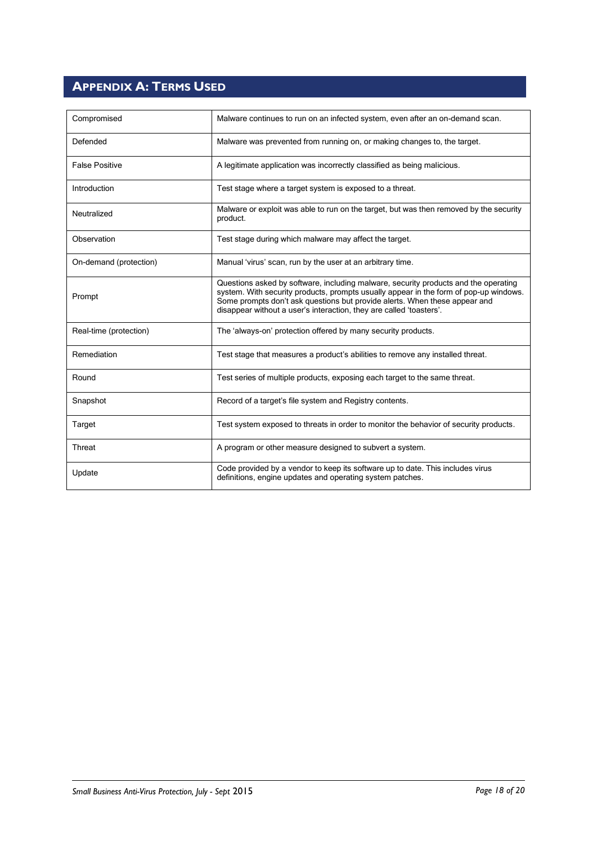## <span id="page-17-0"></span>**APPENDIX A: TERMS USED**

| Compromised            | Malware continues to run on an infected system, even after an on-demand scan.                                                                                                                                                                                                                                                     |
|------------------------|-----------------------------------------------------------------------------------------------------------------------------------------------------------------------------------------------------------------------------------------------------------------------------------------------------------------------------------|
| Defended               | Malware was prevented from running on, or making changes to, the target.                                                                                                                                                                                                                                                          |
| <b>False Positive</b>  | A legitimate application was incorrectly classified as being malicious.                                                                                                                                                                                                                                                           |
| Introduction           | Test stage where a target system is exposed to a threat.                                                                                                                                                                                                                                                                          |
| Neutralized            | Malware or exploit was able to run on the target, but was then removed by the security<br>product.                                                                                                                                                                                                                                |
| Observation            | Test stage during which malware may affect the target.                                                                                                                                                                                                                                                                            |
| On-demand (protection) | Manual 'virus' scan, run by the user at an arbitrary time.                                                                                                                                                                                                                                                                        |
| Prompt                 | Questions asked by software, including malware, security products and the operating<br>system. With security products, prompts usually appear in the form of pop-up windows.<br>Some prompts don't ask questions but provide alerts. When these appear and<br>disappear without a user's interaction, they are called 'toasters'. |
| Real-time (protection) | The 'always-on' protection offered by many security products.                                                                                                                                                                                                                                                                     |
| Remediation            | Test stage that measures a product's abilities to remove any installed threat.                                                                                                                                                                                                                                                    |
| Round                  | Test series of multiple products, exposing each target to the same threat.                                                                                                                                                                                                                                                        |
| Snapshot               | Record of a target's file system and Registry contents.                                                                                                                                                                                                                                                                           |
| Target                 | Test system exposed to threats in order to monitor the behavior of security products.                                                                                                                                                                                                                                             |
| Threat                 | A program or other measure designed to subvert a system.                                                                                                                                                                                                                                                                          |
| Update                 | Code provided by a vendor to keep its software up to date. This includes virus<br>definitions, engine updates and operating system patches.                                                                                                                                                                                       |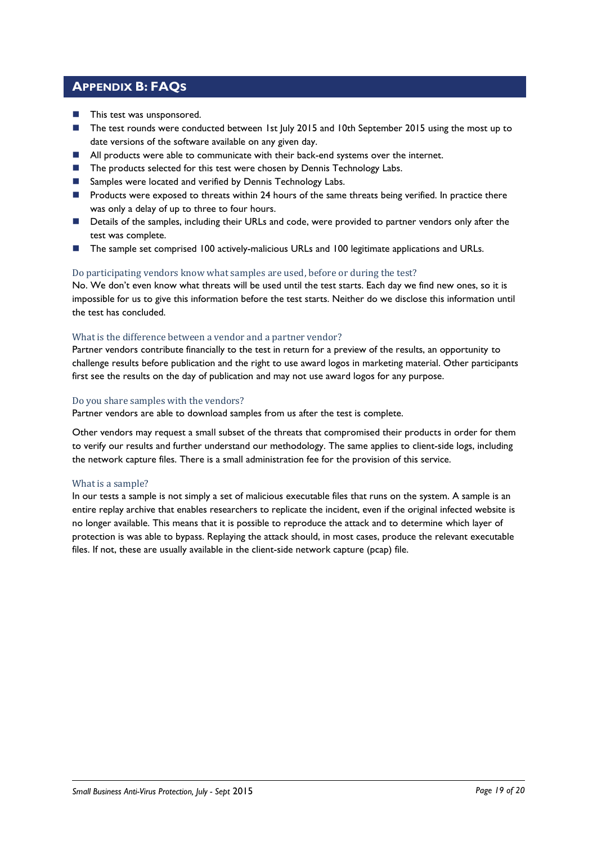### <span id="page-18-0"></span>**APPENDIX B: FAQS**

- **This test was unsponsored.**
- The test rounds were conducted between 1st July 2015 and 10th September 2015 using the most up to date versions of the software available on any given day.
- **All products were able to communicate with their back-end systems over the internet.**
- The products selected for this test were chosen by Dennis Technology Labs.
- Samples were located and verified by Dennis Technology Labs.
- **Products were exposed to threats within 24 hours of the same threats being verified. In practice there** was only a delay of up to three to four hours.
- Details of the samples, including their URLs and code, were provided to partner vendors only after the test was complete.
- The sample set comprised 100 actively-malicious URLs and 100 legitimate applications and URLs.

### Do participating vendors know what samples are used, before or during the test?

No. We don't even know what threats will be used until the test starts. Each day we find new ones, so it is impossible for us to give this information before the test starts. Neither do we disclose this information until the test has concluded.

### What is the difference between a vendor and a partner vendor?

Partner vendors contribute financially to the test in return for a preview of the results, an opportunity to challenge results before publication and the right to use award logos in marketing material. Other participants first see the results on the day of publication and may not use award logos for any purpose.

### Do you share samples with the vendors?

Partner vendors are able to download samples from us after the test is complete.

Other vendors may request a small subset of the threats that compromised their products in order for them to verify our results and further understand our methodology. The same applies to client-side logs, including the network capture files. There is a small administration fee for the provision of this service.

### What is a sample?

In our tests a sample is not simply a set of malicious executable files that runs on the system. A sample is an entire replay archive that enables researchers to replicate the incident, even if the original infected website is no longer available. This means that it is possible to reproduce the attack and to determine which layer of protection is was able to bypass. Replaying the attack should, in most cases, produce the relevant executable files. If not, these are usually available in the client-side network capture (pcap) file.